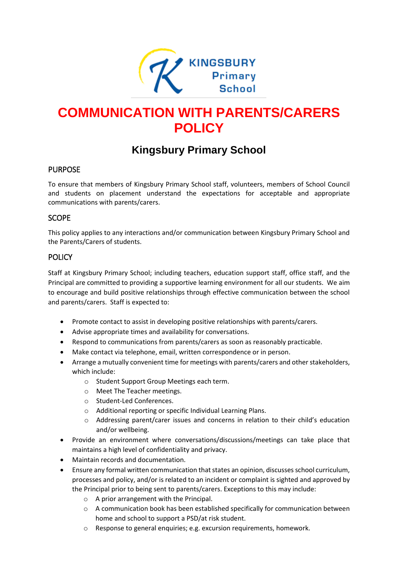

# **COMMUNICATION WITH PARENTS/CARERS POLICY**

## **Kingsbury Primary School**

#### PURPOSE

To ensure that members of Kingsbury Primary School staff, volunteers, members of School Council and students on placement understand the expectations for acceptable and appropriate communications with parents/carers.

#### SCOPE

This policy applies to any interactions and/or communication between Kingsbury Primary School and the Parents/Carers of students.

#### **POLICY**

Staff at Kingsbury Primary School; including teachers, education support staff, office staff, and the Principal are committed to providing a supportive learning environment for all our students. We aim to encourage and build positive relationships through effective communication between the school and parents/carers. Staff is expected to:

- Promote contact to assist in developing positive relationships with parents/carers.
- Advise appropriate times and availability for conversations.
- Respond to communications from parents/carers as soon as reasonably practicable.
- Make contact via telephone, email, written correspondence or in person.
- Arrange a mutually convenient time for meetings with parents/carers and other stakeholders, which include:
	- o Student Support Group Meetings each term.
	- o Meet The Teacher meetings.
	- o Student-Led Conferences.
	- o Additional reporting or specific Individual Learning Plans.
	- o Addressing parent/carer issues and concerns in relation to their child's education and/or wellbeing.
- Provide an environment where conversations/discussions/meetings can take place that maintains a high level of confidentiality and privacy.
- Maintain records and documentation.
- Ensure any formal written communication that states an opinion, discusses school curriculum, processes and policy, and/or is related to an incident or complaint is sighted and approved by the Principal prior to being sent to parents/carers. Exceptions to this may include:
	- o A prior arrangement with the Principal.
	- $\circ$  A communication book has been established specifically for communication between home and school to support a PSD/at risk student.
	- o Response to general enquiries; e.g. excursion requirements, homework.